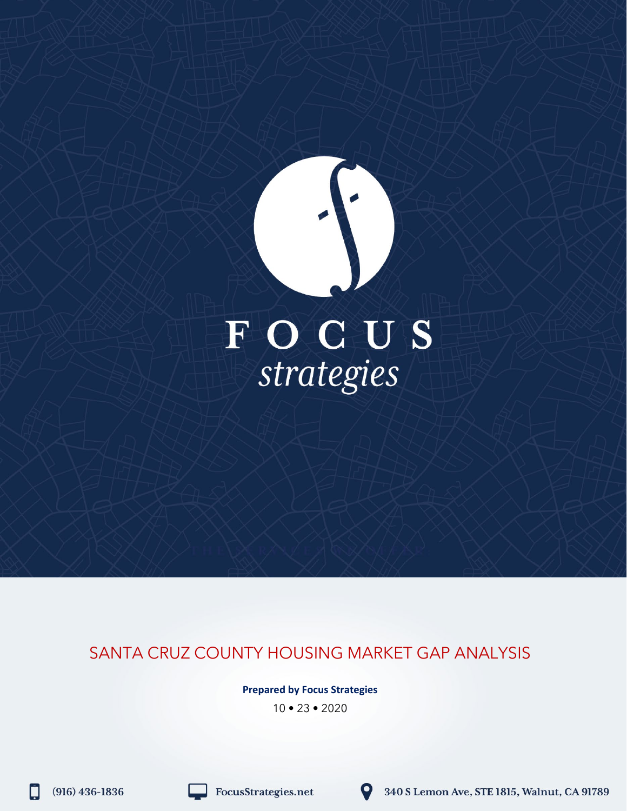# FOCUS<br>strategies

# SANTA CRUZ COUNTY HOUSING MARKET GAP ANALYSIS

**Prepared by Focus Strategies**

10 • 23 • 2020

H

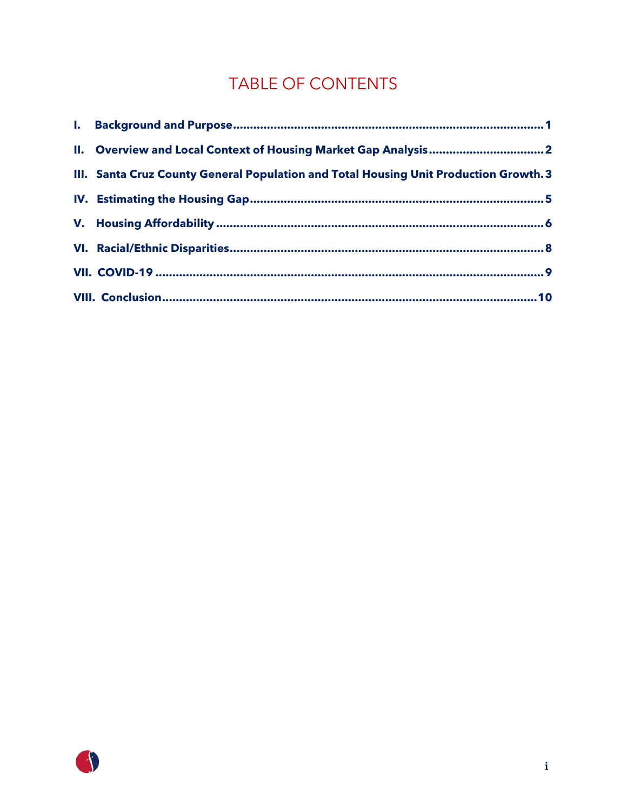# TABLE OF CONTENTS

| II. Overview and Local Context of Housing Market Gap Analysis 2                       |
|---------------------------------------------------------------------------------------|
| III. Santa Cruz County General Population and Total Housing Unit Production Growth. 3 |
|                                                                                       |
|                                                                                       |
|                                                                                       |
|                                                                                       |
|                                                                                       |

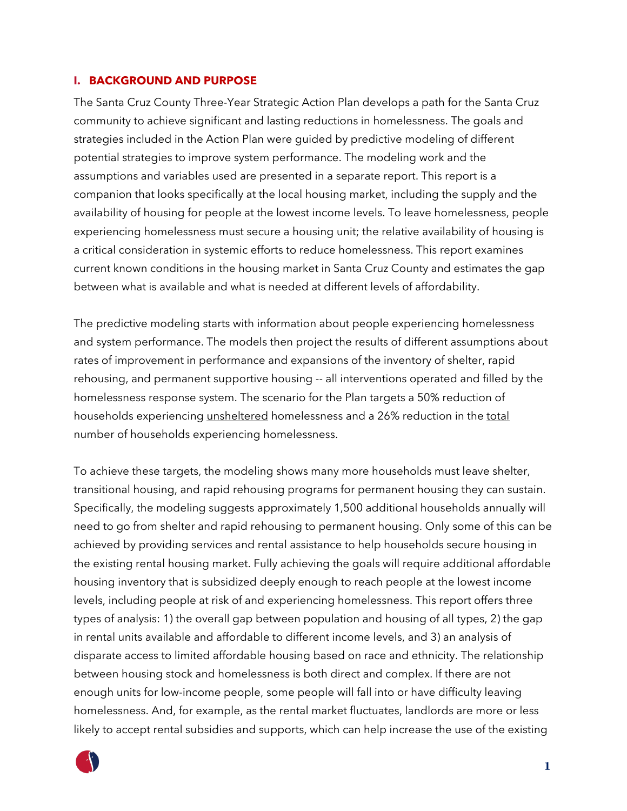#### <span id="page-2-0"></span>**I. BACKGROUND AND PURPOSE**

The Santa Cruz County Three-Year Strategic Action Plan develops a path for the Santa Cruz community to achieve significant and lasting reductions in homelessness. The goals and strategies included in the Action Plan were guided by predictive modeling of different potential strategies to improve system performance. The modeling work and the assumptions and variables used are presented in a separate report. This report is a companion that looks specifically at the local housing market, including the supply and the availability of housing for people at the lowest income levels. To leave homelessness, people experiencing homelessness must secure a housing unit; the relative availability of housing is a critical consideration in systemic efforts to reduce homelessness. This report examines current known conditions in the housing market in Santa Cruz County and estimates the gap between what is available and what is needed at different levels of affordability.

The predictive modeling starts with information about people experiencing homelessness and system performance. The models then project the results of different assumptions about rates of improvement in performance and expansions of the inventory of shelter, rapid rehousing, and permanent supportive housing -- all interventions operated and filled by the homelessness response system. The scenario for the Plan targets a 50% reduction of households experiencing unsheltered homelessness and a 26% reduction in the total number of households experiencing homelessness.

To achieve these targets, the modeling shows many more households must leave shelter, transitional housing, and rapid rehousing programs for permanent housing they can sustain. Specifically, the modeling suggests approximately 1,500 additional households annually will need to go from shelter and rapid rehousing to permanent housing. Only some of this can be achieved by providing services and rental assistance to help households secure housing in the existing rental housing market. Fully achieving the goals will require additional affordable housing inventory that is subsidized deeply enough to reach people at the lowest income levels, including people at risk of and experiencing homelessness. This report offers three types of analysis: 1) the overall gap between population and housing of all types, 2) the gap in rental units available and affordable to different income levels, and 3) an analysis of disparate access to limited affordable housing based on race and ethnicity. The relationship between housing stock and homelessness is both direct and complex. If there are not enough units for low-income people, some people will fall into or have difficulty leaving homelessness. And, for example, as the rental market fluctuates, landlords are more or less likely to accept rental subsidies and supports, which can help increase the use of the existing

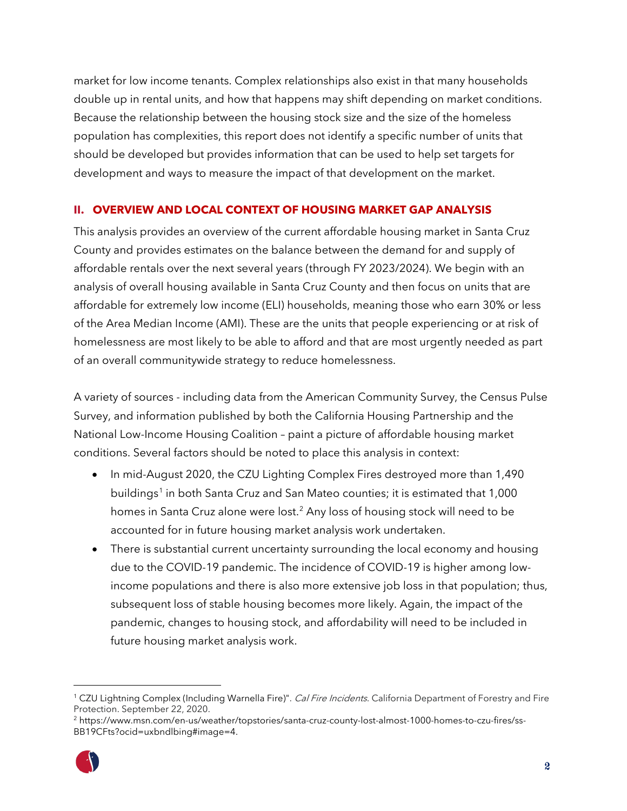market for low income tenants. Complex relationships also exist in that many households double up in rental units, and how that happens may shift depending on market conditions. Because the relationship between the housing stock size and the size of the homeless population has complexities, this report does not identify a specific number of units that should be developed but provides information that can be used to help set targets for development and ways to measure the impact of that development on the market.

## <span id="page-3-0"></span>**II. OVERVIEW AND LOCAL CONTEXT OF HOUSING MARKET GAP ANALYSIS**

This analysis provides an overview of the current affordable housing market in Santa Cruz County and provides estimates on the balance between the demand for and supply of affordable rentals over the next several years (through FY 2023/2024). We begin with an analysis of overall housing available in Santa Cruz County and then focus on units that are affordable for extremely low income (ELI) households, meaning those who earn 30% or less of the Area Median Income (AMI). These are the units that people experiencing or at risk of homelessness are most likely to be able to afford and that are most urgently needed as part of an overall communitywide strategy to reduce homelessness.

A variety of sources - including data from the American Community Survey, the Census Pulse Survey, and information published by both the California Housing Partnership and the National Low-Income Housing Coalition – paint a picture of affordable housing market conditions. Several factors should be noted to place this analysis in context:

- In mid-August 2020, the CZU Lighting Complex Fires destroyed more than 1,490 buildings<sup>[1](#page-3-1)</sup> in both Santa Cruz and San Mateo counties; it is estimated that 1,000 homes in Santa Cruz alone were lost.[2](#page-3-2) Any loss of housing stock will need to be accounted for in future housing market analysis work undertaken.
- There is substantial current uncertainty surrounding the local economy and housing due to the COVID-19 pandemic. The incidence of COVID-19 is higher among lowincome populations and there is also more extensive job loss in that population; thus, subsequent loss of stable housing becomes more likely. Again, the impact of the pandemic, changes to housing stock, and affordability will need to be included in future housing market analysis work.

<span id="page-3-2"></span><sup>2</sup> https://www.msn.com/en-us/weather/topstories/santa-cruz-county-lost-almost-1000-homes-to-czu-fires/ss-BB19CFts?ocid=uxbndlbing#image=4.



<span id="page-3-1"></span><sup>&</sup>lt;sup>1</sup> CZU Lightning Complex (Including Warnella Fire)". *Cal Fire Incidents*. California Department of Forestry and Fire Protection. September 22, 2020.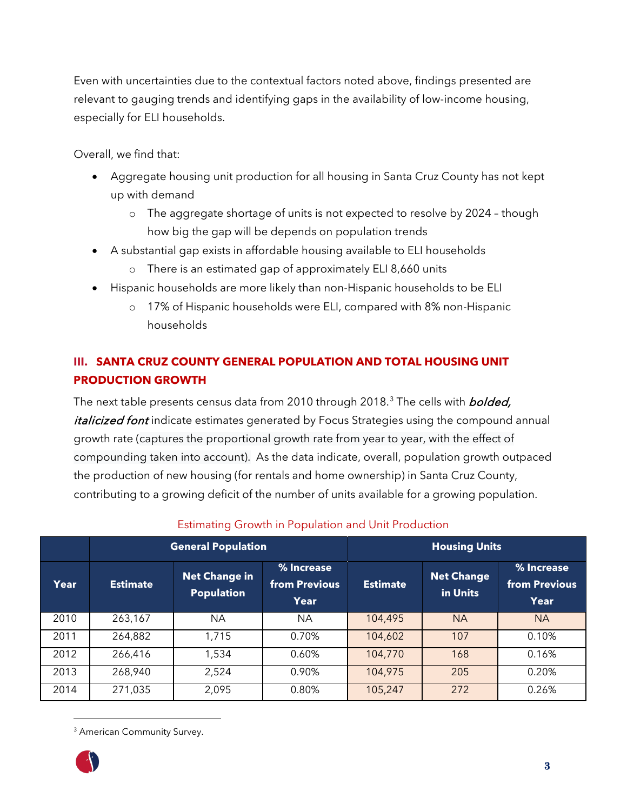Even with uncertainties due to the contextual factors noted above, findings presented are relevant to gauging trends and identifying gaps in the availability of low-income housing, especially for ELI households.

Overall, we find that:

- Aggregate housing unit production for all housing in Santa Cruz County has not kept up with demand
	- o The aggregate shortage of units is not expected to resolve by 2024 though how big the gap will be depends on population trends
- A substantial gap exists in affordable housing available to ELI households
	- o There is an estimated gap of approximately ELI 8,660 units
- Hispanic households are more likely than non-Hispanic households to be ELI
	- o 17% of Hispanic households were ELI, compared with 8% non-Hispanic households

# <span id="page-4-0"></span>**III. SANTA CRUZ COUNTY GENERAL POPULATION AND TOTAL HOUSING UNIT PRODUCTION GROWTH**

The next table presents census data from 2010 through 2018.<sup>[3](#page-4-1)</sup> The cells with *bolded, italicized font* indicate estimates generated by Focus Strategies using the compound annual growth rate (captures the proportional growth rate from year to year, with the effect of compounding taken into account). As the data indicate, overall, population growth outpaced the production of new housing (for rentals and home ownership) in Santa Cruz County, contributing to a growing deficit of the number of units available for a growing population.

|      |                 | <b>General Population</b>                 |                                     |                 | <b>Housing Units</b>          |                                     |  |
|------|-----------------|-------------------------------------------|-------------------------------------|-----------------|-------------------------------|-------------------------------------|--|
| Year | <b>Estimate</b> | <b>Net Change in</b><br><b>Population</b> | % Increase<br>from Previous<br>Year | <b>Estimate</b> | <b>Net Change</b><br>in Units | % Increase<br>from Previous<br>Year |  |
| 2010 | 263,167         | NA.                                       | NA.                                 | 104,495         | <b>NA</b>                     | <b>NA</b>                           |  |
| 2011 | 264,882         | 1,715                                     | 0.70%                               | 104,602         | 107                           | 0.10%                               |  |
| 2012 | 266,416         | 1,534                                     | 0.60%                               | 104,770         | 168                           | 0.16%                               |  |
| 2013 | 268,940         | 2,524                                     | 0.90%                               | 104,975         | 205                           | 0.20%                               |  |
| 2014 | 271,035         | 2,095                                     | 0.80%                               | 105,247         | 272                           | 0.26%                               |  |

# Estimating Growth in Population and Unit Production

<span id="page-4-1"></span><sup>&</sup>lt;sup>3</sup> American Community Survey.

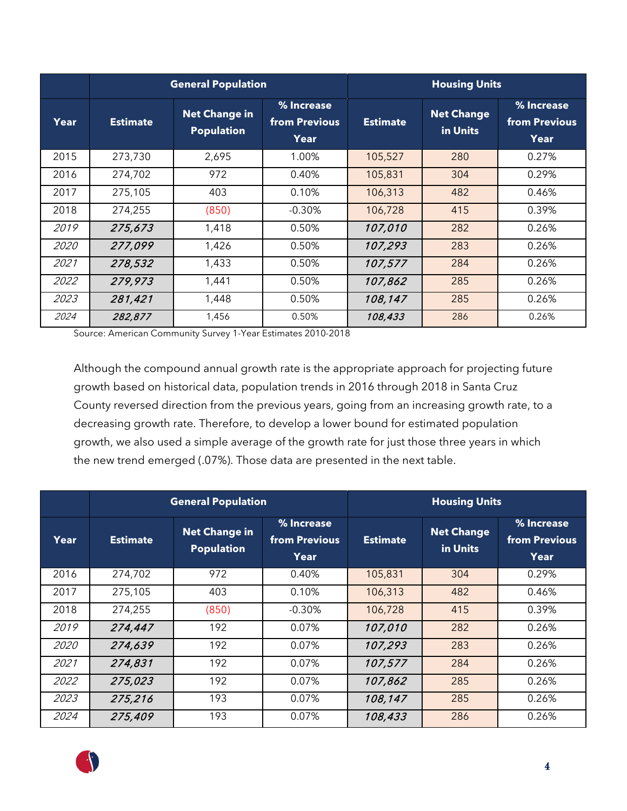|             |                 | <b>General Population</b>                 |                                     | <b>Housing Units</b> |                               |                                     |
|-------------|-----------------|-------------------------------------------|-------------------------------------|----------------------|-------------------------------|-------------------------------------|
| Year        | <b>Estimate</b> | <b>Net Change in</b><br><b>Population</b> | % Increase<br>from Previous<br>Year | <b>Estimate</b>      | <b>Net Change</b><br>in Units | % Increase<br>from Previous<br>Year |
| 2015        | 273,730         | 2,695                                     | 1.00%                               | 105,527              | 280                           | 0.27%                               |
| 2016        | 274,702         | 972                                       | 0.40%                               | 105,831              | 304                           | 0.29%                               |
| 2017        | 275,105         | 403                                       | 0.10%                               | 106,313              | 482                           | 0.46%                               |
| 2018        | 274,255         | (850)                                     | $-0.30%$                            | 106,728              | 415                           | 0.39%                               |
| 2019        | 275,673         | 1,418                                     | 0.50%                               | 107,010              | 282                           | 0.26%                               |
| <i>2020</i> | 277,099         | 1,426                                     | 0.50%                               | 107,293              | 283                           | 0.26%                               |
| 2021        | 278,532         | 1,433                                     | 0.50%                               | 107,577              | 284                           | 0.26%                               |
| 2022        | 279,973         | 1,441                                     | 0.50%                               | 107,862              | 285                           | 0.26%                               |
| 2023        | 281,421         | 1,448                                     | 0.50%                               | 108,147              | 285                           | 0.26%                               |
| 2024        | 282,877         | 1,456                                     | 0.50%                               | 108,433              | 286                           | 0.26%                               |

Source: American Community Survey 1-Year Estimates 2010-2018

Although the compound annual growth rate is the appropriate approach for projecting future growth based on historical data, population trends in 2016 through 2018 in Santa Cruz County reversed direction from the previous years, going from an increasing growth rate, to a decreasing growth rate. Therefore, to develop a lower bound for estimated population growth, we also used a simple average of the growth rate for just those three years in which the new trend emerged (.07%). Those data are presented in the next table.

|             |                 | <b>General Population</b>                 |                                     | <b>Housing Units</b> |                               |                                     |  |
|-------------|-----------------|-------------------------------------------|-------------------------------------|----------------------|-------------------------------|-------------------------------------|--|
| Year        | <b>Estimate</b> | <b>Net Change in</b><br><b>Population</b> | % Increase<br>from Previous<br>Year | <b>Estimate</b>      | <b>Net Change</b><br>in Units | % Increase<br>from Previous<br>Year |  |
| 2016        | 274,702         | 972                                       | 0.40%                               | 105,831              | 304                           | 0.29%                               |  |
| 2017        | 275,105         | 403                                       | 0.10%                               | 106,313              | 482                           | 0.46%                               |  |
| 2018        | 274,255         | (850)                                     | $-0.30%$                            | 106,728              | 415                           | 0.39%                               |  |
| 2019        | 274,447         | 192                                       | 0.07%                               | 107,010              | 282                           | 0.26%                               |  |
| <i>2020</i> | 274,639         | 192                                       | 0.07%                               | 107,293              | 283                           | 0.26%                               |  |
| 2021        | 274,831         | 192                                       | 0.07%                               | 107,577              | 284                           | 0.26%                               |  |
| 2022        | 275,023         | 192                                       | 0.07%                               | 107,862              | 285                           | 0.26%                               |  |
| 2023        | 275,216         | 193                                       | 0.07%                               | 108,147              | 285                           | 0.26%                               |  |
| 2024        | 275,409         | 193                                       | 0.07%                               | 108,433              | 286                           | 0.26%                               |  |

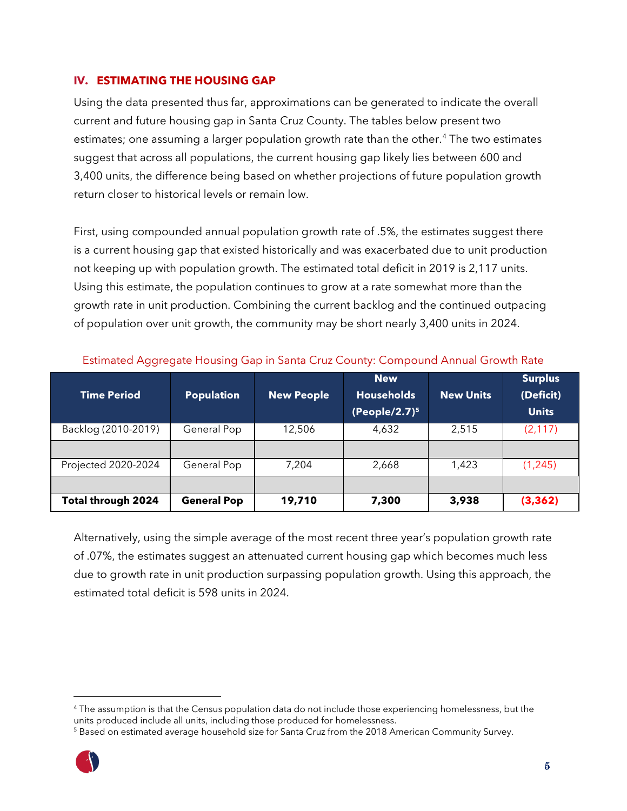#### <span id="page-6-0"></span>**IV. ESTIMATING THE HOUSING GAP**

Using the data presented thus far, approximations can be generated to indicate the overall current and future housing gap in Santa Cruz County. The tables below present two estimates; one assuming a larger population growth rate than the other. [4](#page-6-1) The two estimates suggest that across all populations, the current housing gap likely lies between 600 and 3,400 units, the difference being based on whether projections of future population growth return closer to historical levels or remain low.

First, using compounded annual population growth rate of .5%, the estimates suggest there is a current housing gap that existed historically and was exacerbated due to unit production not keeping up with population growth. The estimated total deficit in 2019 is 2,117 units. Using this estimate, the population continues to grow at a rate somewhat more than the growth rate in unit production. Combining the current backlog and the continued outpacing of population over unit growth, the community may be short nearly 3,400 units in 2024.

| <b>Time Period</b>  | <b>Population</b>  | <b>New People</b> | <b>New</b><br><b>Households</b><br>(People/2.7) $5$ | <b>New Units</b> | <b>Surplus</b><br>(Deficit)<br><b>Units</b> |
|---------------------|--------------------|-------------------|-----------------------------------------------------|------------------|---------------------------------------------|
| Backlog (2010-2019) | General Pop        | 12,506            | 4,632                                               | 2,515            | (2, 117)                                    |
|                     |                    |                   |                                                     |                  |                                             |
| Projected 2020-2024 | General Pop        | 7,204             | 2,668                                               | 1,423            | (1, 245)                                    |
|                     |                    |                   |                                                     |                  |                                             |
| Total through 2024  | <b>General Pop</b> | 19,710            | 7,300                                               | 3,938            | (3, 362)                                    |

Estimated Aggregate Housing Gap in Santa Cruz County: Compound Annual Growth Rate

Alternatively, using the simple average of the most recent three year's population growth rate of .07%, the estimates suggest an attenuated current housing gap which becomes much less due to growth rate in unit production surpassing population growth. Using this approach, the estimated total deficit is 598 units in 2024.

<span id="page-6-2"></span><sup>&</sup>lt;sup>5</sup> Based on estimated average household size for Santa Cruz from the 2018 American Community Survey.



<span id="page-6-1"></span><sup>4</sup> The assumption is that the Census population data do not include those experiencing homelessness, but the units produced include all units, including those produced for homelessness.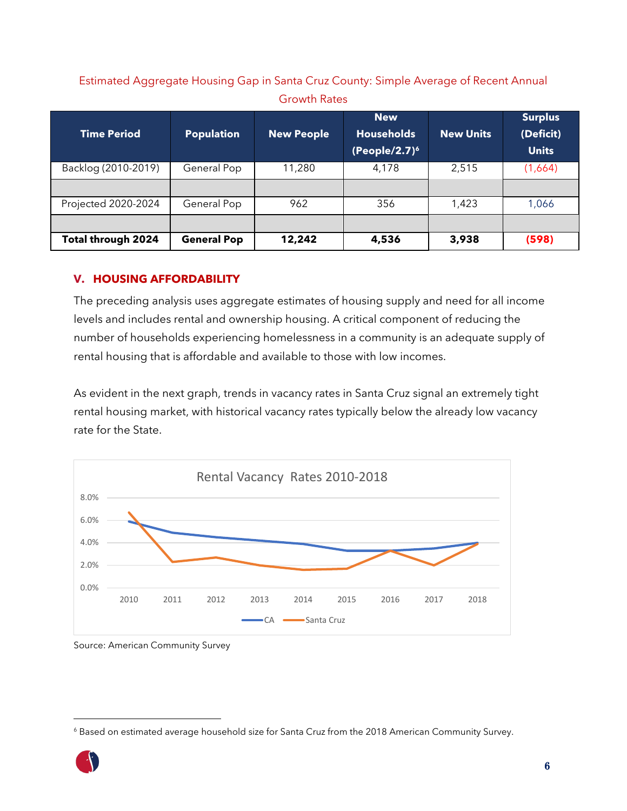# Estimated Aggregate Housing Gap in Santa Cruz County: Simple Average of Recent Annual Growth Rates

| <b>Time Period</b>  | <b>Population</b>  | <b>New People</b> | <b>New</b><br><b>Households</b><br>$(People/2.7)^6$ | <b>New Units</b> | <b>Surplus</b><br>(Deficit)<br><b>Units</b> |
|---------------------|--------------------|-------------------|-----------------------------------------------------|------------------|---------------------------------------------|
| Backlog (2010-2019) | General Pop        | 11,280            | 4,178                                               | 2,515            | (1,664)                                     |
|                     |                    |                   |                                                     |                  |                                             |
| Projected 2020-2024 | General Pop        | 962               | 356                                                 | 1,423            | 1,066                                       |
|                     |                    |                   |                                                     |                  |                                             |
| Total through 2024  | <b>General Pop</b> | 12,242            | 4,536                                               | 3,938            | (598)                                       |

## <span id="page-7-0"></span>**V. HOUSING AFFORDABILITY**

The preceding analysis uses aggregate estimates of housing supply and need for all income levels and includes rental and ownership housing. A critical component of reducing the number of households experiencing homelessness in a community is an adequate supply of rental housing that is affordable and available to those with low incomes.

As evident in the next graph, trends in vacancy rates in Santa Cruz signal an extremely tight rental housing market, with historical vacancy rates typically below the already low vacancy rate for the State.



Source: American Community Survey

<span id="page-7-1"></span><sup>&</sup>lt;sup>6</sup> Based on estimated average household size for Santa Cruz from the 2018 American Community Survey.

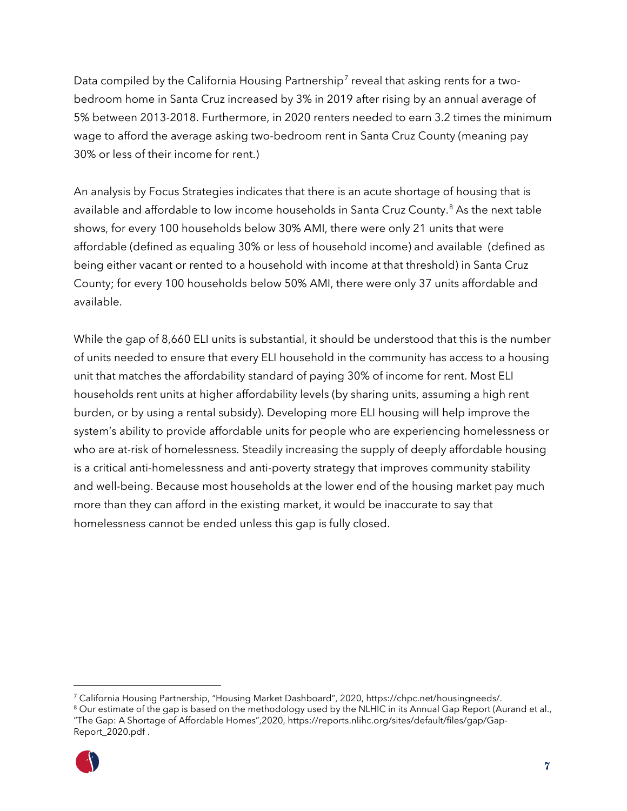Data compiled by the California Housing Partnership<sup>[7](#page-8-0)</sup> reveal that asking rents for a twobedroom home in Santa Cruz increased by 3% in 2019 after rising by an annual average of 5% between 2013-2018. Furthermore, in 2020 renters needed to earn 3.2 times the minimum wage to afford the average asking two-bedroom rent in Santa Cruz County (meaning pay 30% or less of their income for rent.)

An analysis by Focus Strategies indicates that there is an acute shortage of housing that is available and affordable to low income households in Santa Cruz County. [8](#page-8-1) As the next table shows, for every 100 households below 30% AMI, there were only 21 units that were affordable (defined as equaling 30% or less of household income) and available (defined as being either vacant or rented to a household with income at that threshold) in Santa Cruz County; for every 100 households below 50% AMI, there were only 37 units affordable and available.

While the gap of 8,660 ELI units is substantial, it should be understood that this is the number of units needed to ensure that every ELI household in the community has access to a housing unit that matches the affordability standard of paying 30% of income for rent. Most ELI households rent units at higher affordability levels (by sharing units, assuming a high rent burden, or by using a rental subsidy). Developing more ELI housing will help improve the system's ability to provide affordable units for people who are experiencing homelessness or who are at-risk of homelessness. Steadily increasing the supply of deeply affordable housing is a critical anti-homelessness and anti-poverty strategy that improves community stability and well-being. Because most households at the lower end of the housing market pay much more than they can afford in the existing market, it would be inaccurate to say that homelessness cannot be ended unless this gap is fully closed.

<span id="page-8-1"></span><sup>&</sup>lt;sup>8</sup> Our estimate of the gap is based on the methodology used by the NLHIC in its Annual Gap Report (Aurand et al., "The Gap: A Shortage of Affordable Homes",2020, https://reports.nlihc.org/sites/default/files/gap/Gap-Report\_2020.pdf .



<span id="page-8-0"></span><sup>7</sup> California Housing Partnership, "Housing Market Dashboard", 2020, https://chpc.net/housingneeds/.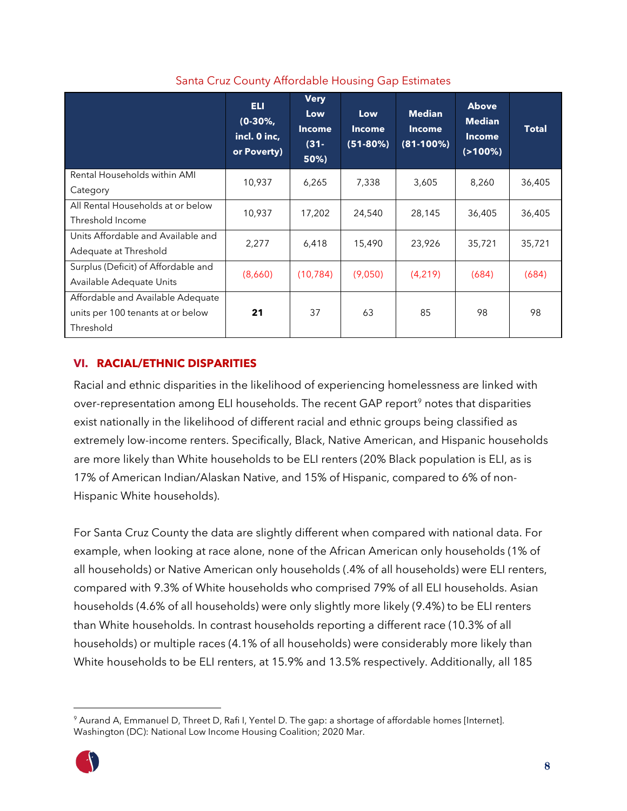|                                                                                     | ELI.<br>$(0-30\%,$<br>incl. 0 inc,<br>or Poverty) | <b>Very</b><br>Low<br><b>Income</b><br>$(31 -$<br>50%) | Low<br><b>Income</b><br>$(51-80%)$ | <b>Median</b><br><b>Income</b><br>$(81-100%)$ | <b>Above</b><br><b>Median</b><br><b>Income</b><br>$(2100\%)$ | <b>Total</b> |
|-------------------------------------------------------------------------------------|---------------------------------------------------|--------------------------------------------------------|------------------------------------|-----------------------------------------------|--------------------------------------------------------------|--------------|
| Rental Households within AMI<br>Category                                            | 10,937                                            | 6,265                                                  | 7,338                              | 3,605                                         | 8,260                                                        | 36,405       |
| All Rental Households at or below<br>Threshold Income                               | 10,937                                            | 17,202                                                 | 24,540                             | 28,145                                        | 36,405                                                       | 36,405       |
| Units Affordable and Available and<br>Adequate at Threshold                         | 2,277                                             | 6,418                                                  | 15,490                             | 23,926                                        | 35,721                                                       | 35,721       |
| Surplus (Deficit) of Affordable and<br>Available Adequate Units                     | (8,660)                                           | (10, 784)                                              | (9,050)                            | (4,219)                                       | (684)                                                        | (684)        |
| Affordable and Available Adequate<br>units per 100 tenants at or below<br>Threshold | 21                                                | 37                                                     | 63                                 | 85                                            | 98                                                           | 98           |

# Santa Cruz County Affordable Housing Gap Estimates

# <span id="page-9-0"></span>**VI. RACIAL/ETHNIC DISPARITIES**

Racial and ethnic disparities in the likelihood of experiencing homelessness are linked with over-representation among ELI households. The recent GAP report<sup>[9](#page-9-1)</sup> notes that disparities exist nationally in the likelihood of different racial and ethnic groups being classified as extremely low-income renters. Specifically, Black, Native American, and Hispanic households are more likely than White households to be ELI renters (20% Black population is ELI, as is 17% of American Indian/Alaskan Native, and 15% of Hispanic, compared to 6% of non-Hispanic White households).

For Santa Cruz County the data are slightly different when compared with national data. For example, when looking at race alone, none of the African American only households (1% of all households) or Native American only households (.4% of all households) were ELI renters, compared with 9.3% of White households who comprised 79% of all ELI households. Asian households (4.6% of all households) were only slightly more likely (9.4%) to be ELI renters than White households. In contrast households reporting a different race (10.3% of all households) or multiple races (4.1% of all households) were considerably more likely than White households to be ELI renters, at 15.9% and 13.5% respectively. Additionally, all 185

<span id="page-9-1"></span><sup>9</sup> Aurand A, Emmanuel D, Threet D, Rafi I, Yentel D. The gap: a shortage of affordable homes [Internet]. Washington (DC): National Low Income Housing Coalition; 2020 Mar.

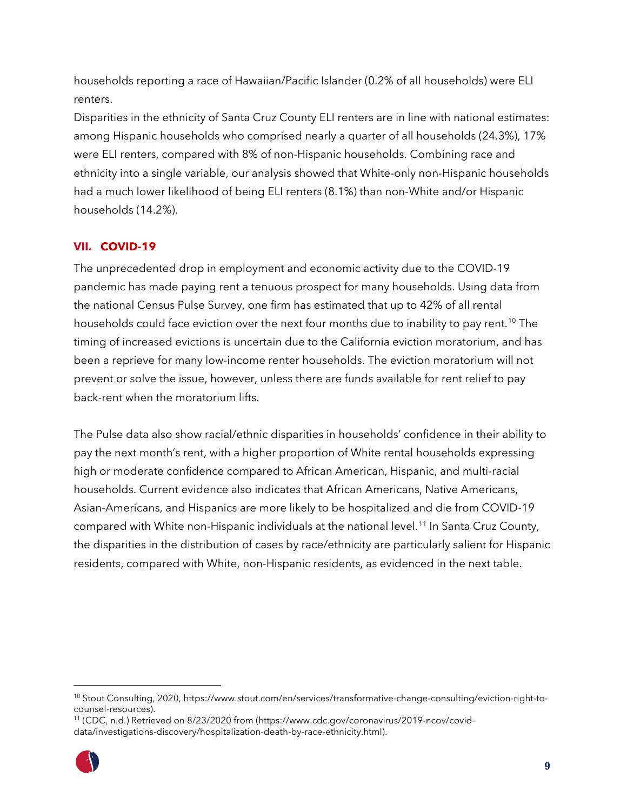households reporting a race of Hawaiian/Pacific Islander (0.2% of all households) were ELI renters.

Disparities in the ethnicity of Santa Cruz County ELI renters are in line with national estimates: among Hispanic households who comprised nearly a quarter of all households (24.3%), 17% were ELI renters, compared with 8% of non-Hispanic households. Combining race and ethnicity into a single variable, our analysis showed that White-only non-Hispanic households had a much lower likelihood of being ELI renters (8.1%) than non-White and/or Hispanic households (14.2%).

# <span id="page-10-0"></span>**VII. COVID-19**

The unprecedented drop in employment and economic activity due to the COVID-19 pandemic has made paying rent a tenuous prospect for many households. Using data from the national Census Pulse Survey, one firm has estimated that up to 42% of all rental households could face eviction over the next four months due to inability to pay rent.<sup>[10](#page-10-1)</sup> The timing of increased evictions is uncertain due to the California eviction moratorium, and has been a reprieve for many low-income renter households. The eviction moratorium will not prevent or solve the issue, however, unless there are funds available for rent relief to pay back-rent when the moratorium lifts.

The Pulse data also show racial/ethnic disparities in households' confidence in their ability to pay the next month's rent, with a higher proportion of White rental households expressing high or moderate confidence compared to African American, Hispanic, and multi-racial households. Current evidence also indicates that African Americans, Native Americans, Asian-Americans, and Hispanics are more likely to be hospitalized and die from COVID-19 compared with White non-Hispanic individuals at the national level. [11](#page-10-2) In Santa Cruz County, the disparities in the distribution of cases by race/ethnicity are particularly salient for Hispanic residents, compared with White, non-Hispanic residents, as evidenced in the next table.

<span id="page-10-2"></span>data/investigations-discovery/hospitalization-death-by-race-ethnicity.html).



<span id="page-10-1"></span><sup>10</sup> Stout Consulting, 2020, https://www.stout.com/en/services/transformative-change-consulting/eviction-right-tocounsel-resources). 11 (CDC, n.d.) Retrieved on 8/23/2020 from (https://www.cdc.gov/coronavirus/2019-ncov/covid-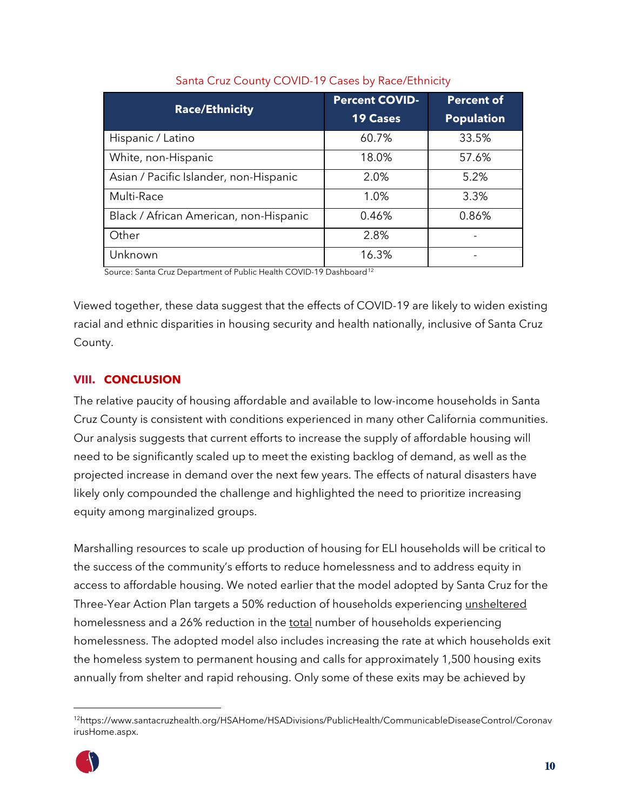| <b>Race/Ethnicity</b>                  | <b>Percent COVID-</b>                                                       | <b>Percent of</b> |
|----------------------------------------|-----------------------------------------------------------------------------|-------------------|
|                                        | <b>19 Cases</b><br>60.7%<br>18.0%<br>2.0%<br>1.0%<br>0.46%<br>2.8%<br>16.3% | <b>Population</b> |
| Hispanic / Latino                      |                                                                             | 33.5%             |
| White, non-Hispanic                    |                                                                             | 57.6%             |
| Asian / Pacific Islander, non-Hispanic |                                                                             | 5.2%              |
| Multi-Race                             |                                                                             | 3.3%              |
| Black / African American, non-Hispanic |                                                                             | 0.86%             |
| Other                                  |                                                                             |                   |
| Unknown                                |                                                                             |                   |

### Santa Cruz County COVID-19 Cases by Race/Ethnicity

Source: Santa Cruz Department of Public Health COVID-19 Dashboard<sup>[12](#page-11-1)</sup>

Viewed together, these data suggest that the effects of COVID-19 are likely to widen existing racial and ethnic disparities in housing security and health nationally, inclusive of Santa Cruz County.

# <span id="page-11-0"></span>**VIII. CONCLUSION**

The relative paucity of housing affordable and available to low-income households in Santa Cruz County is consistent with conditions experienced in many other California communities. Our analysis suggests that current efforts to increase the supply of affordable housing will need to be significantly scaled up to meet the existing backlog of demand, as well as the projected increase in demand over the next few years. The effects of natural disasters have likely only compounded the challenge and highlighted the need to prioritize increasing equity among marginalized groups.

Marshalling resources to scale up production of housing for ELI households will be critical to the success of the community's efforts to reduce homelessness and to address equity in access to affordable housing. We noted earlier that the model adopted by Santa Cruz for the Three-Year Action Plan targets a 50% reduction of households experiencing unsheltered homelessness and a 26% reduction in the total number of households experiencing homelessness. The adopted model also includes increasing the rate at which households exit the homeless system to permanent housing and calls for approximately 1,500 housing exits annually from shelter and rapid rehousing. Only some of these exits may be achieved by

<span id="page-11-1"></span><sup>12</sup>https://www.santacruzhealth.org/HSAHome/HSADivisions/PublicHealth/CommunicableDiseaseControl/Coronav irusHome.aspx.